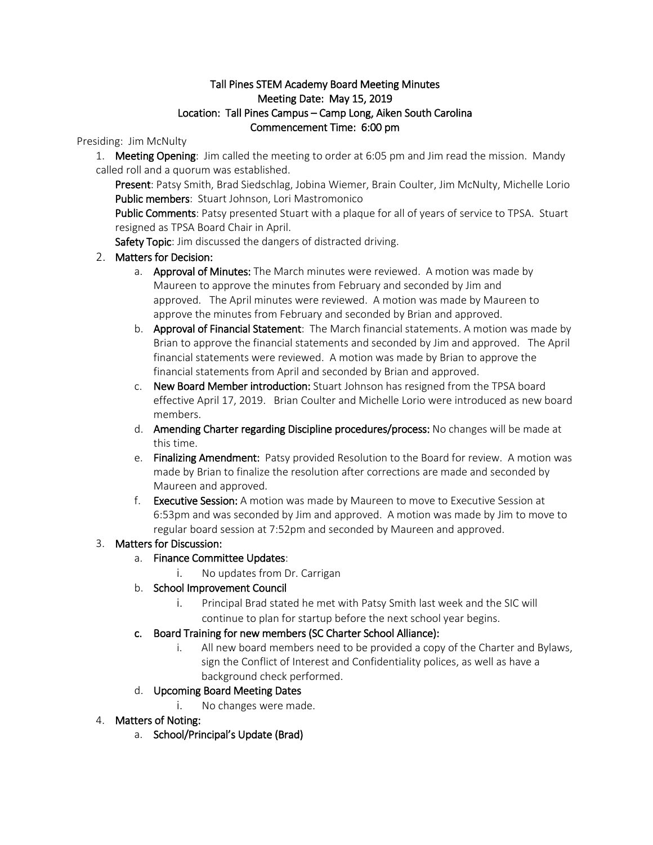# Tall Pines STEM Academy Board Meeting Minutes Meeting Date: May 15, 2019 Location: Tall Pines Campus – Camp Long, Aiken South Carolina Commencement Time: 6:00 pm

#### Presiding: Jim McNulty

1. Meeting Opening: Jim called the meeting to order at 6:05 pm and Jim read the mission. Mandy called roll and a quorum was established.

Present: Patsy Smith, Brad Siedschlag, Jobina Wiemer, Brain Coulter, Jim McNulty, Michelle Lorio Public members: Stuart Johnson, Lori Mastromonico

Public Comments: Patsy presented Stuart with a plaque for all of years of service to TPSA. Stuart resigned as TPSA Board Chair in April.

Safety Topic: Jim discussed the dangers of distracted driving.

# 2. Matters for Decision:

- a. Approval of Minutes: The March minutes were reviewed. A motion was made by Maureen to approve the minutes from February and seconded by Jim and approved. The April minutes were reviewed. A motion was made by Maureen to approve the minutes from February and seconded by Brian and approved.
- b. **Approval of Financial Statement**: The March financial statements. A motion was made by Brian to approve the financial statements and seconded by Jim and approved. The April financial statements were reviewed. A motion was made by Brian to approve the financial statements from April and seconded by Brian and approved.
- c. New Board Member introduction: Stuart Johnson has resigned from the TPSA board effective April 17, 2019. Brian Coulter and Michelle Lorio were introduced as new board members.
- d. Amending Charter regarding Discipline procedures/process: No changes will be made at this time.
- e. Finalizing Amendment: Patsy provided Resolution to the Board for review. A motion was made by Brian to finalize the resolution after corrections are made and seconded by Maureen and approved.
- f. Executive Session: A motion was made by Maureen to move to Executive Session at 6:53pm and was seconded by Jim and approved. A motion was made by Jim to move to regular board session at 7:52pm and seconded by Maureen and approved.

# 3. Matters for Discussion:

- a. Finance Committee Updates:
	- i. No updates from Dr. Carrigan
- b. School Improvement Council
	- i. Principal Brad stated he met with Patsy Smith last week and the SIC will continue to plan for startup before the next school year begins.

#### c. Board Training for new members (SC Charter School Alliance):

i. All new board members need to be provided a copy of the Charter and Bylaws, sign the Conflict of Interest and Confidentiality polices, as well as have a background check performed.

# d. Upcoming Board Meeting Dates

- i. No changes were made.
- 4. Matters of Noting:
	- a. School/Principal's Update (Brad)